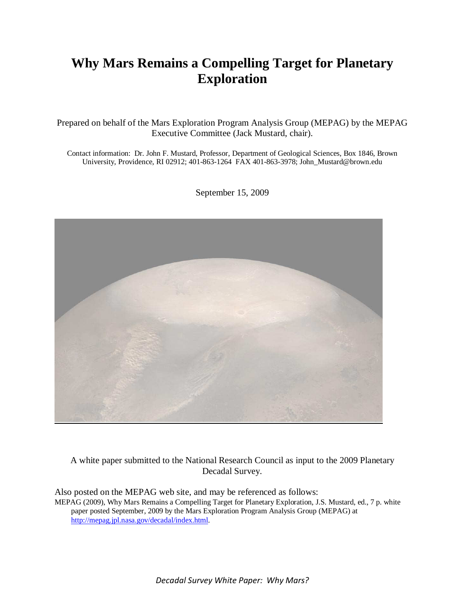# **Why Mars Remains a Compelling Target for Planetary Exploration**

Prepared on behalf of the Mars Exploration Program Analysis Group (MEPAG) by the MEPAG Executive Committee (Jack Mustard, chair).

Contact information: Dr. John F. Mustard, Professor, Department of Geological Sciences, Box 1846, Brown University, Providence, RI 02912; 401-863-1264 FAX 401-863-3978; John\_Mustard@brown.edu



September 15, 2009

A white paper submitted to the National Research Council as input to the 2009 Planetary Decadal Survey.

Also posted on the MEPAG web site, and may be referenced as follows: MEPAG (2009), Why Mars Remains a Compelling Target for Planetary Exploration, J.S. Mustard, ed., 7 p. white paper posted September, 2009 by the Mars Exploration Program Analysis Group (MEPAG) at http://mepag.jpl.nasa.gov/decadal/index.html.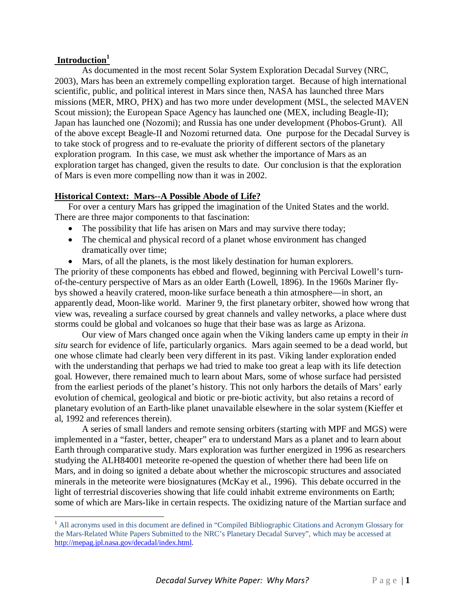# **Introduction<sup>1</sup>**

-

As documented in the most recent Solar System Exploration Decadal Survey (NRC, 2003), Mars has been an extremely compelling exploration target. Because of high international scientific, public, and political interest in Mars since then, NASA has launched three Mars missions (MER, MRO, PHX) and has two more under development (MSL, the selected MAVEN Scout mission); the European Space Agency has launched one (MEX, including Beagle-II); Japan has launched one (Nozomi); and Russia has one under development (Phobos-Grunt). All of the above except Beagle-II and Nozomi returned data. One purpose for the Decadal Survey is to take stock of progress and to re-evaluate the priority of different sectors of the planetary exploration program. In this case, we must ask whether the importance of Mars as an exploration target has changed, given the results to date. Our conclusion is that the exploration of Mars is even more compelling now than it was in 2002.

# **Historical Context: Mars--A Possible Abode of Life?**

For over a century Mars has gripped the imagination of the United States and the world. There are three major components to that fascination:

- The possibility that life has arisen on Mars and may survive there today;
- The chemical and physical record of a planet whose environment has changed dramatically over time;
- Mars, of all the planets, is the most likely destination for human explorers. The priority of these components has ebbed and flowed, beginning with Percival Lowell's turnof-the-century perspective of Mars as an older Earth (Lowell, 1896). In the 1960s Mariner flybys showed a heavily cratered, moon-like surface beneath a thin atmosphere—in short, an apparently dead, Moon-like world. Mariner 9, the first planetary orbiter, showed how wrong that view was, revealing a surface coursed by great channels and valley networks, a place where dust storms could be global and volcanoes so huge that their base was as large as Arizona.

Our view of Mars changed once again when the Viking landers came up empty in their *in situ* search for evidence of life, particularly organics. Mars again seemed to be a dead world, but one whose climate had clearly been very different in its past. Viking lander exploration ended with the understanding that perhaps we had tried to make too great a leap with its life detection goal. However, there remained much to learn about Mars, some of whose surface had persisted from the earliest periods of the planet's history. This not only harbors the details of Mars' early evolution of chemical, geological and biotic or pre-biotic activity, but also retains a record of planetary evolution of an Earth-like planet unavailable elsewhere in the solar system (Kieffer et al, 1992 and references therein).

A series of small landers and remote sensing orbiters (starting with MPF and MGS) were implemented in a "faster, better, cheaper" era to understand Mars as a planet and to learn about Earth through comparative study. Mars exploration was further energized in 1996 as researchers studying the ALH84001 meteorite re-opened the question of whether there had been life on Mars, and in doing so ignited a debate about whether the microscopic structures and associated minerals in the meteorite were biosignatures (McKay et al., 1996). This debate occurred in the light of terrestrial discoveries showing that life could inhabit extreme environments on Earth; some of which are Mars-like in certain respects. The oxidizing nature of the Martian surface and

<sup>&</sup>lt;sup>1</sup> All acronyms used in this document are defined in "Compiled Bibliographic Citations and Acronym Glossary for the Mars-Related White Papers Submitted to the NRC's Planetary Decadal Survey", which may be accessed at http://mepag.jpl.nasa.gov/decadal/index.html.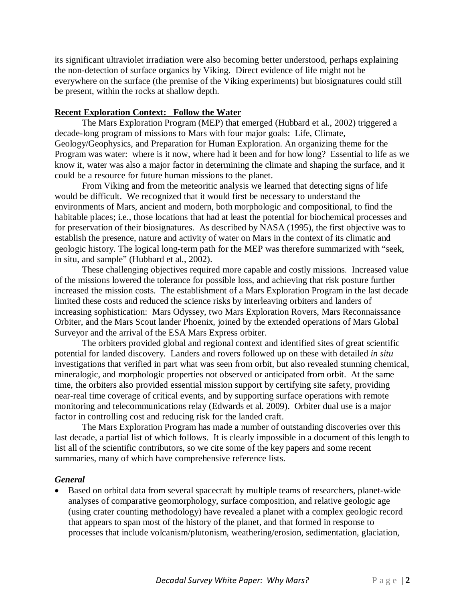its significant ultraviolet irradiation were also becoming better understood, perhaps explaining the non-detection of surface organics by Viking. Direct evidence of life might not be everywhere on the surface (the premise of the Viking experiments) but biosignatures could still be present, within the rocks at shallow depth.

## **Recent Exploration Context: Follow the Water**

The Mars Exploration Program (MEP) that emerged (Hubbard et al., 2002) triggered a decade-long program of missions to Mars with four major goals: Life, Climate, Geology/Geophysics, and Preparation for Human Exploration. An organizing theme for the Program was water: where is it now, where had it been and for how long? Essential to life as we know it, water was also a major factor in determining the climate and shaping the surface, and it could be a resource for future human missions to the planet.

From Viking and from the meteoritic analysis we learned that detecting signs of life would be difficult. We recognized that it would first be necessary to understand the environments of Mars, ancient and modern, both morphologic and compositional, to find the habitable places; i.e., those locations that had at least the potential for biochemical processes and for preservation of their biosignatures. As described by NASA (1995), the first objective was to establish the presence, nature and activity of water on Mars in the context of its climatic and geologic history. The logical long-term path for the MEP was therefore summarized with "seek, in situ, and sample" (Hubbard et al., 2002).

These challenging objectives required more capable and costly missions. Increased value of the missions lowered the tolerance for possible loss, and achieving that risk posture further increased the mission costs. The establishment of a Mars Exploration Program in the last decade limited these costs and reduced the science risks by interleaving orbiters and landers of increasing sophistication: Mars Odyssey, two Mars Exploration Rovers, Mars Reconnaissance Orbiter, and the Mars Scout lander Phoenix, joined by the extended operations of Mars Global Surveyor and the arrival of the ESA Mars Express orbiter.

The orbiters provided global and regional context and identified sites of great scientific potential for landed discovery. Landers and rovers followed up on these with detailed *in situ* investigations that verified in part what was seen from orbit, but also revealed stunning chemical, mineralogic, and morphologic properties not observed or anticipated from orbit. At the same time, the orbiters also provided essential mission support by certifying site safety, providing near-real time coverage of critical events, and by supporting surface operations with remote monitoring and telecommunications relay (Edwards et al. 2009). Orbiter dual use is a major factor in controlling cost and reducing risk for the landed craft.

The Mars Exploration Program has made a number of outstanding discoveries over this last decade, a partial list of which follows. It is clearly impossible in a document of this length to list all of the scientific contributors, so we cite some of the key papers and some recent summaries, many of which have comprehensive reference lists.

#### *General*

• Based on orbital data from several spacecraft by multiple teams of researchers, planet-wide analyses of comparative geomorphology, surface composition, and relative geologic age (using crater counting methodology) have revealed a planet with a complex geologic record that appears to span most of the history of the planet, and that formed in response to processes that include volcanism/plutonism, weathering/erosion, sedimentation, glaciation,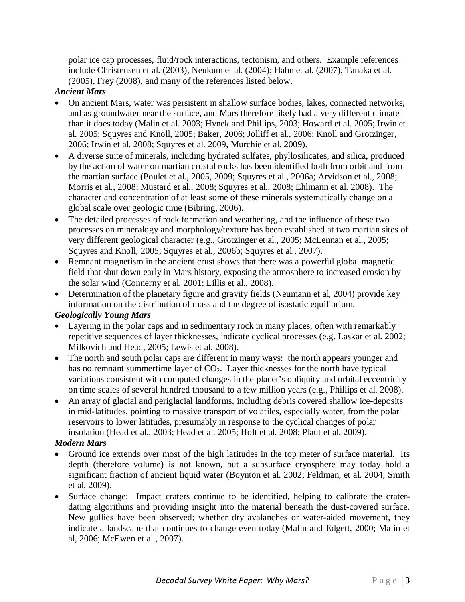polar ice cap processes, fluid/rock interactions, tectonism, and others. Example references include Christensen et al. (2003), Neukum et al. (2004); Hahn et al. (2007), Tanaka et al. (2005), Frey (2008), and many of the references listed below.

## *Ancient Mars*

- On ancient Mars, water was persistent in shallow surface bodies, lakes, connected networks, and as groundwater near the surface, and Mars therefore likely had a very different climate than it does today (Malin et al. 2003; Hynek and Phillips, 2003; Howard et al. 2005; Irwin et al. 2005; Squyres and Knoll, 2005; Baker, 2006; Jolliff et al., 2006; Knoll and Grotzinger, 2006; Irwin et al. 2008; Squyres et al. 2009, Murchie et al. 2009).
- A diverse suite of minerals, including hydrated sulfates, phyllosilicates, and silica, produced by the action of water on martian crustal rocks has been identified both from orbit and from the martian surface (Poulet et al., 2005, 2009; Squyres et al., 2006a; Arvidson et al., 2008; Morris et al., 2008; Mustard et al., 2008; Squyres et al., 2008; Ehlmann et al. 2008). The character and concentration of at least some of these minerals systematically change on a global scale over geologic time (Bibring, 2006).
- The detailed processes of rock formation and weathering, and the influence of these two processes on mineralogy and morphology/texture has been established at two martian sites of very different geological character (e.g., Grotzinger et al., 2005; McLennan et al., 2005; Squyres and Knoll, 2005; Squyres et al., 2006b; Squyres et al., 2007).
- Remnant magnetism in the ancient crust shows that there was a powerful global magnetic field that shut down early in Mars history, exposing the atmosphere to increased erosion by the solar wind (Connerny et al, 2001; Lillis et al., 2008).
- Determination of the planetary figure and gravity fields (Neumann et al, 2004) provide key information on the distribution of mass and the degree of isostatic equilibrium.

## *Geologically Young Mars*

- Layering in the polar caps and in sedimentary rock in many places, often with remarkably repetitive sequences of layer thicknesses, indicate cyclical processes (e.g. Laskar et al. 2002; Milkovich and Head, 2005; Lewis et al. 2008).
- The north and south polar caps are different in many ways: the north appears younger and has no remnant summertime layer of  $CO<sub>2</sub>$ . Layer thicknesses for the north have typical variations consistent with computed changes in the planet's obliquity and orbital eccentricity on time scales of several hundred thousand to a few million years (e.g., Phillips et al. 2008).
- An array of glacial and periglacial landforms, including debris covered shallow ice-deposits in mid-latitudes, pointing to massive transport of volatiles, especially water, from the polar reservoirs to lower latitudes, presumably in response to the cyclical changes of polar insolation (Head et al., 2003; Head et al. 2005; Holt et al. 2008; Plaut et al. 2009).

## *Modern Mars*

- Ground ice extends over most of the high latitudes in the top meter of surface material. Its depth (therefore volume) is not known, but a subsurface cryosphere may today hold a significant fraction of ancient liquid water (Boynton et al. 2002; Feldman, et al. 2004; Smith et al. 2009).
- Surface change: Impact craters continue to be identified, helping to calibrate the craterdating algorithms and providing insight into the material beneath the dust-covered surface. New gullies have been observed; whether dry avalanches or water-aided movement, they indicate a landscape that continues to change even today (Malin and Edgett, 2000; Malin et al, 2006; McEwen et al., 2007).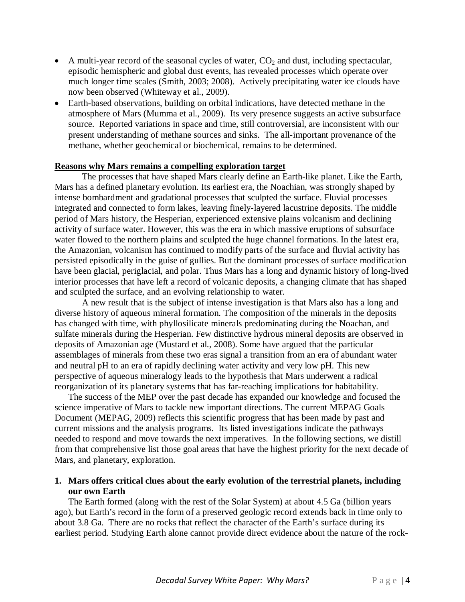- A multi-year record of the seasonal cycles of water,  $CO<sub>2</sub>$  and dust, including spectacular, episodic hemispheric and global dust events, has revealed processes which operate over much longer time scales (Smith, 2003; 2008). Actively precipitating water ice clouds have now been observed (Whiteway et al., 2009).
- Earth-based observations, building on orbital indications, have detected methane in the atmosphere of Mars (Mumma et al., 2009). Its very presence suggests an active subsurface source. Reported variations in space and time, still controversial, are inconsistent with our present understanding of methane sources and sinks. The all-important provenance of the methane, whether geochemical or biochemical, remains to be determined.

#### **Reasons why Mars remains a compelling exploration target**

The processes that have shaped Mars clearly define an Earth-like planet. Like the Earth, Mars has a defined planetary evolution. Its earliest era, the Noachian, was strongly shaped by intense bombardment and gradational processes that sculpted the surface. Fluvial processes integrated and connected to form lakes, leaving finely-layered lacustrine deposits. The middle period of Mars history, the Hesperian, experienced extensive plains volcanism and declining activity of surface water. However, this was the era in which massive eruptions of subsurface water flowed to the northern plains and sculpted the huge channel formations. In the latest era, the Amazonian, volcanism has continued to modify parts of the surface and fluvial activity has persisted episodically in the guise of gullies. But the dominant processes of surface modification have been glacial, periglacial, and polar. Thus Mars has a long and dynamic history of long-lived interior processes that have left a record of volcanic deposits, a changing climate that has shaped and sculpted the surface, and an evolving relationship to water.

A new result that is the subject of intense investigation is that Mars also has a long and diverse history of aqueous mineral formation. The composition of the minerals in the deposits has changed with time, with phyllosilicate minerals predominating during the Noachan, and sulfate minerals during the Hesperian. Few distinctive hydrous mineral deposits are observed in deposits of Amazonian age (Mustard et al., 2008). Some have argued that the particular assemblages of minerals from these two eras signal a transition from an era of abundant water and neutral pH to an era of rapidly declining water activity and very low pH. This new perspective of aqueous mineralogy leads to the hypothesis that Mars underwent a radical reorganization of its planetary systems that has far-reaching implications for habitability.

The success of the MEP over the past decade has expanded our knowledge and focused the science imperative of Mars to tackle new important directions. The current MEPAG Goals Document (MEPAG, 2009) reflects this scientific progress that has been made by past and current missions and the analysis programs. Its listed investigations indicate the pathways needed to respond and move towards the next imperatives. In the following sections, we distill from that comprehensive list those goal areas that have the highest priority for the next decade of Mars, and planetary, exploration.

## **1. Mars offers critical clues about the early evolution of the terrestrial planets, including our own Earth**

The Earth formed (along with the rest of the Solar System) at about 4.5 Ga (billion years ago), but Earth's record in the form of a preserved geologic record extends back in time only to about 3.8 Ga. There are no rocks that reflect the character of the Earth's surface during its earliest period. Studying Earth alone cannot provide direct evidence about the nature of the rock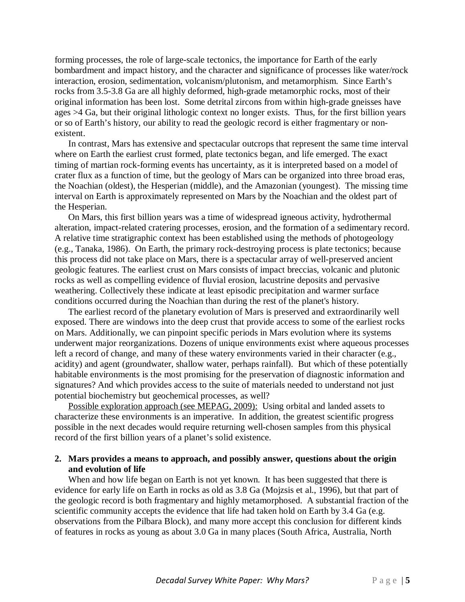forming processes, the role of large-scale tectonics, the importance for Earth of the early bombardment and impact history, and the character and significance of processes like water/rock interaction, erosion, sedimentation, volcanism/plutonism, and metamorphism. Since Earth's rocks from 3.5-3.8 Ga are all highly deformed, high-grade metamorphic rocks, most of their original information has been lost. Some detrital zircons from within high-grade gneisses have ages >4 Ga, but their original lithologic context no longer exists. Thus, for the first billion years or so of Earth's history, our ability to read the geologic record is either fragmentary or nonexistent.

In contrast, Mars has extensive and spectacular outcrops that represent the same time interval where on Earth the earliest crust formed, plate tectonics began, and life emerged. The exact timing of martian rock-forming events has uncertainty, as it is interpreted based on a model of crater flux as a function of time, but the geology of Mars can be organized into three broad eras, the Noachian (oldest), the Hesperian (middle), and the Amazonian (youngest). The missing time interval on Earth is approximately represented on Mars by the Noachian and the oldest part of the Hesperian.

On Mars, this first billion years was a time of widespread igneous activity, hydrothermal alteration, impact-related cratering processes, erosion, and the formation of a sedimentary record. A relative time stratigraphic context has been established using the methods of photogeology (e.g., Tanaka, 1986). On Earth, the primary rock-destroying process is plate tectonics; because this process did not take place on Mars, there is a spectacular array of well-preserved ancient geologic features. The earliest crust on Mars consists of impact breccias, volcanic and plutonic rocks as well as compelling evidence of fluvial erosion, lacustrine deposits and pervasive weathering. Collectively these indicate at least episodic precipitation and warmer surface conditions occurred during the Noachian than during the rest of the planet's history.

The earliest record of the planetary evolution of Mars is preserved and extraordinarily well exposed. There are windows into the deep crust that provide access to some of the earliest rocks on Mars. Additionally, we can pinpoint specific periods in Mars evolution where its systems underwent major reorganizations. Dozens of unique environments exist where aqueous processes left a record of change, and many of these watery environments varied in their character (e.g., acidity) and agent (groundwater, shallow water, perhaps rainfall). But which of these potentially habitable environments is the most promising for the preservation of diagnostic information and signatures? And which provides access to the suite of materials needed to understand not just potential biochemistry but geochemical processes, as well?

Possible exploration approach (see MEPAG, 2009): Using orbital and landed assets to characterize these environments is an imperative. In addition, the greatest scientific progress possible in the next decades would require returning well-chosen samples from this physical record of the first billion years of a planet's solid existence.

### **2. Mars provides a means to approach, and possibly answer, questions about the origin and evolution of life**

When and how life began on Earth is not yet known. It has been suggested that there is evidence for early life on Earth in rocks as old as 3.8 Ga (Mojzsis et al., 1996), but that part of the geologic record is both fragmentary and highly metamorphosed. A substantial fraction of the scientific community accepts the evidence that life had taken hold on Earth by 3.4 Ga (e.g. observations from the Pilbara Block), and many more accept this conclusion for different kinds of features in rocks as young as about 3.0 Ga in many places (South Africa, Australia, North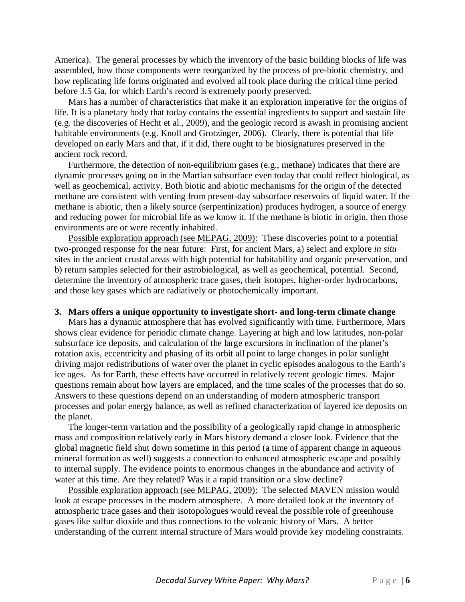America). The general processes by which the inventory of the basic building blocks of life was assembled, how those components were reorganized by the process of pre-biotic chemistry, and how replicating life forms originated and evolved all took place during the critical time period before 3.5 Ga, for which Earth's record is extremely poorly preserved.

Mars has a number of characteristics that make it an exploration imperative for the origins of life. It is a planetary body that today contains the essential ingredients to support and sustain life (e.g. the discoveries of Hecht et al., 2009), and the geologic record is awash in promising ancient habitable environments (e.g. Knoll and Grotzinger, 2006). Clearly, there is potential that life developed on early Mars and that, if it did, there ought to be biosignatures preserved in the ancient rock record.

Furthermore, the detection of non-equilibrium gases (e.g., methane) indicates that there are dynamic processes going on in the Martian subsurface even today that could reflect biological, as well as geochemical, activity. Both biotic and abiotic mechanisms for the origin of the detected methane are consistent with venting from present-day subsurface reservoirs of liquid water. If the methane is abiotic, then a likely source (serpentinization) produces hydrogen, a source of energy and reducing power for microbial life as we know it. If the methane is biotic in origin, then those environments are or were recently inhabited.

Possible exploration approach (see MEPAG, 2009): These discoveries point to a potential two-pronged response for the near future: First, for ancient Mars, a) select and explore *in situ* sites in the ancient crustal areas with high potential for habitability and organic preservation, and b) return samples selected for their astrobiological, as well as geochemical, potential. Second, determine the inventory of atmospheric trace gases, their isotopes, higher-order hydrocarbons, and those key gases which are radiatively or photochemically important.

#### **3. Mars offers a unique opportunity to investigate short- and long-term climate change**

Mars has a dynamic atmosphere that has evolved significantly with time. Furthermore, Mars shows clear evidence for periodic climate change. Layering at high and low latitudes, non-polar subsurface ice deposits, and calculation of the large excursions in inclination of the planet's rotation axis, eccentricity and phasing of its orbit all point to large changes in polar sunlight driving major redistributions of water over the planet in cyclic episodes analogous to the Earth's ice ages. As for Earth, these effects have occurred in relatively recent geologic times. Major questions remain about how layers are emplaced, and the time scales of the processes that do so. Answers to these questions depend on an understanding of modern atmospheric transport processes and polar energy balance, as well as refined characterization of layered ice deposits on the planet.

The longer-term variation and the possibility of a geologically rapid change in atmospheric mass and composition relatively early in Mars history demand a closer look. Evidence that the global magnetic field shut down sometime in this period (a time of apparent change in aqueous mineral formation as well) suggests a connection to enhanced atmospheric escape and possibly to internal supply. The evidence points to enormous changes in the abundance and activity of water at this time. Are they related? Was it a rapid transition or a slow decline?

Possible exploration approach (see MEPAG, 2009): The selected MAVEN mission would look at escape processes in the modern atmosphere. A more detailed look at the inventory of atmospheric trace gases and their isotopologues would reveal the possible role of greenhouse gases like sulfur dioxide and thus connections to the volcanic history of Mars. A better understanding of the current internal structure of Mars would provide key modeling constraints.